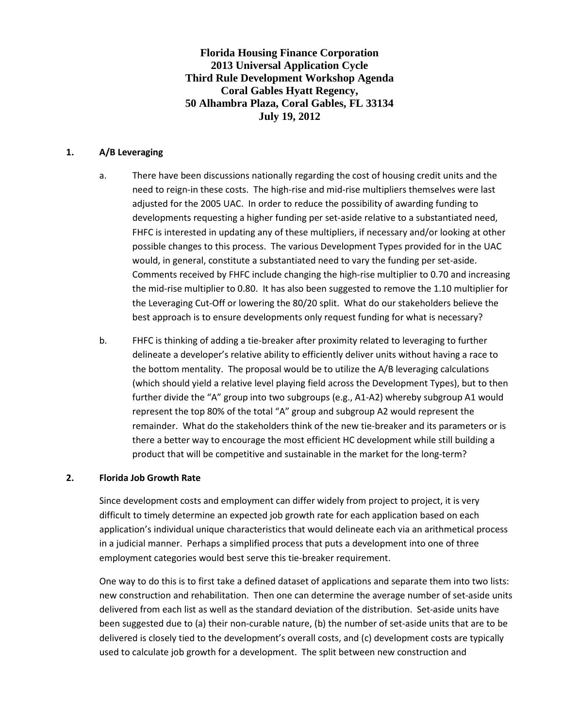**Florida Housing Finance Corporation 2013 Universal Application Cycle Third Rule Development Workshop Agenda Coral Gables Hyatt Regency, 50 Alhambra Plaza, Coral Gables, FL 33134 July 19, 2012**

### **1. A/B Leveraging**

- a. There have been discussions nationally regarding the cost of housing credit units and the need to reign-in these costs. The high-rise and mid-rise multipliers themselves were last adjusted for the 2005 UAC. In order to reduce the possibility of awarding funding to developments requesting a higher funding per set-aside relative to a substantiated need, FHFC is interested in updating any of these multipliers, if necessary and/or looking at other possible changes to this process. The various Development Types provided for in the UAC would, in general, constitute a substantiated need to vary the funding per set-aside. Comments received by FHFC include changing the high-rise multiplier to 0.70 and increasing the mid-rise multiplier to 0.80. It has also been suggested to remove the 1.10 multiplier for the Leveraging Cut-Off or lowering the 80/20 split. What do our stakeholders believe the best approach is to ensure developments only request funding for what is necessary?
- b. FHFC is thinking of adding a tie-breaker after proximity related to leveraging to further delineate a developer's relative ability to efficiently deliver units without having a race to the bottom mentality. The proposal would be to utilize the A/B leveraging calculations (which should yield a relative level playing field across the Development Types), but to then further divide the "A" group into two subgroups (e.g., A1-A2) whereby subgroup A1 would represent the top 80% of the total "A" group and subgroup A2 would represent the remainder. What do the stakeholders think of the new tie-breaker and its parameters or is there a better way to encourage the most efficient HC development while still building a product that will be competitive and sustainable in the market for the long-term?

### **2. Florida Job Growth Rate**

Since development costs and employment can differ widely from project to project, it is very difficult to timely determine an expected job growth rate for each application based on each application's individual unique characteristics that would delineate each via an arithmetical process in a judicial manner. Perhaps a simplified process that puts a development into one of three employment categories would best serve this tie-breaker requirement.

One way to do this is to first take a defined dataset of applications and separate them into two lists: new construction and rehabilitation. Then one can determine the average number of set-aside units delivered from each list as well as the standard deviation of the distribution. Set-aside units have been suggested due to (a) their non-curable nature, (b) the number of set-aside units that are to be delivered is closely tied to the development's overall costs, and (c) development costs are typically used to calculate job growth for a development. The split between new construction and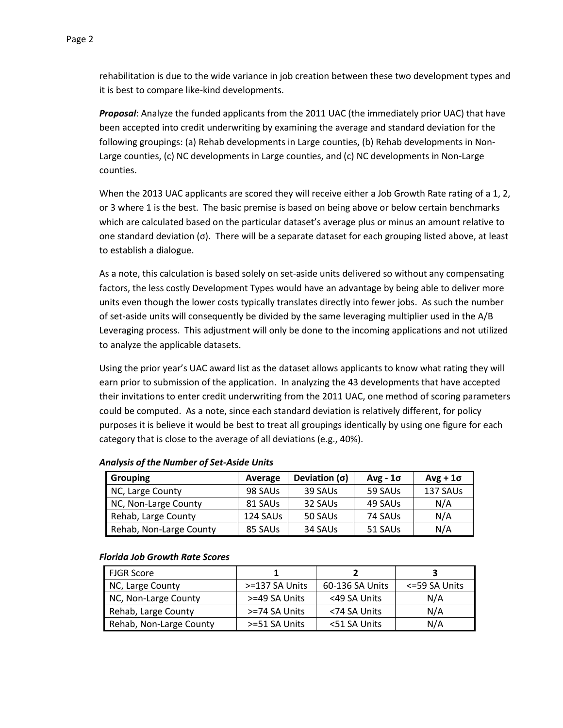rehabilitation is due to the wide variance in job creation between these two development types and it is best to compare like-kind developments.

*Proposal*: Analyze the funded applicants from the 2011 UAC (the immediately prior UAC) that have been accepted into credit underwriting by examining the average and standard deviation for the following groupings: (a) Rehab developments in Large counties, (b) Rehab developments in Non-Large counties, (c) NC developments in Large counties, and (c) NC developments in Non-Large counties.

When the 2013 UAC applicants are scored they will receive either a Job Growth Rate rating of a 1, 2, or 3 where 1 is the best. The basic premise is based on being above or below certain benchmarks which are calculated based on the particular dataset's average plus or minus an amount relative to one standard deviation (σ). There will be a separate dataset for each grouping listed above, at least to establish a dialogue.

As a note, this calculation is based solely on set-aside units delivered so without any compensating factors, the less costly Development Types would have an advantage by being able to deliver more units even though the lower costs typically translates directly into fewer jobs. As such the number of set-aside units will consequently be divided by the same leveraging multiplier used in the A/B Leveraging process. This adjustment will only be done to the incoming applications and not utilized to analyze the applicable datasets.

Using the prior year's UAC award list as the dataset allows applicants to know what rating they will earn prior to submission of the application. In analyzing the 43 developments that have accepted their invitations to enter credit underwriting from the 2011 UAC, one method of scoring parameters could be computed. As a note, since each standard deviation is relatively different, for policy purposes it is believe it would be best to treat all groupings identically by using one figure for each category that is close to the average of all deviations (e.g., 40%).

| <b>Grouping</b>         | Average  | Deviation $(\sigma)$ | $Avg - 1\sigma$ | $Avg + 1\sigma$ |
|-------------------------|----------|----------------------|-----------------|-----------------|
| NC, Large County        | 98 SAUs  | 39 SAUs              | 59 SAUs         | 137 SAUs        |
| NC, Non-Large County    | 81 SAUs  | 32 SAUS              | 49 SAUs         | N/A             |
| Rehab, Large County     | 124 SAUs | 50 SAUS              | 74 SAUs         | N/A             |
| Rehab, Non-Large County | 85 SAUS  | 34 SAUs              | 51 SAUs         | N/A             |

### *Analysis of the Number of Set-Aside Units*

#### *Florida Job Growth Rate Scores*

| <b>FJGR Score</b>       |                |                 |               |
|-------------------------|----------------|-----------------|---------------|
| NC, Large County        | >=137 SA Units | 60-136 SA Units | <=59 SA Units |
| NC, Non-Large County    | >=49 SA Units  | <49 SA Units    | N/A           |
| Rehab, Large County     | >=74 SA Units  | <74 SA Units    | N/A           |
| Rehab, Non-Large County | >=51 SA Units  | <51 SA Units    | N/A           |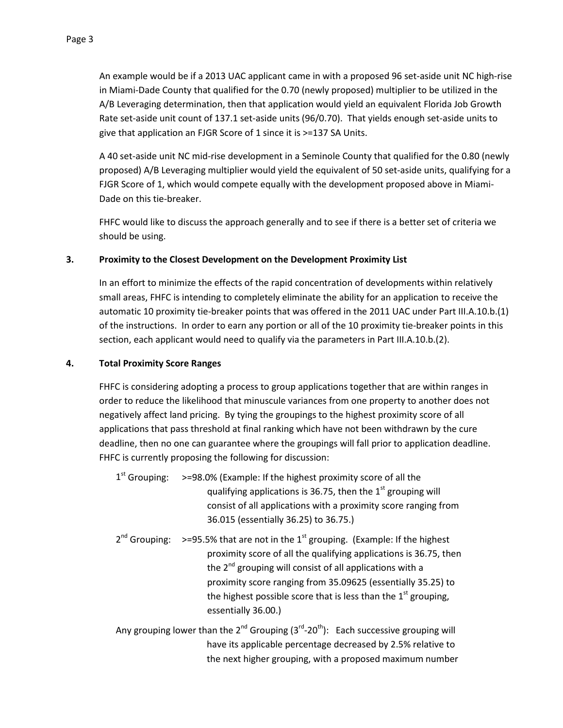An example would be if a 2013 UAC applicant came in with a proposed 96 set-aside unit NC high-rise in Miami-Dade County that qualified for the 0.70 (newly proposed) multiplier to be utilized in the A/B Leveraging determination, then that application would yield an equivalent Florida Job Growth Rate set-aside unit count of 137.1 set-aside units (96/0.70). That yields enough set-aside units to give that application an FJGR Score of 1 since it is >=137 SA Units.

A 40 set-aside unit NC mid-rise development in a Seminole County that qualified for the 0.80 (newly proposed) A/B Leveraging multiplier would yield the equivalent of 50 set-aside units, qualifying for a FJGR Score of 1, which would compete equally with the development proposed above in Miami-Dade on this tie-breaker.

FHFC would like to discuss the approach generally and to see if there is a better set of criteria we should be using.

## **3. Proximity to the Closest Development on the Development Proximity List**

In an effort to minimize the effects of the rapid concentration of developments within relatively small areas, FHFC is intending to completely eliminate the ability for an application to receive the automatic 10 proximity tie-breaker points that was offered in the 2011 UAC under Part III.A.10.b.(1) of the instructions. In order to earn any portion or all of the 10 proximity tie-breaker points in this section, each applicant would need to qualify via the parameters in Part III.A.10.b.(2).

## **4. Total Proximity Score Ranges**

FHFC is considering adopting a process to group applications together that are within ranges in order to reduce the likelihood that minuscule variances from one property to another does not negatively affect land pricing. By tying the groupings to the highest proximity score of all applications that pass threshold at final ranking which have not been withdrawn by the cure deadline, then no one can guarantee where the groupings will fall prior to application deadline. FHFC is currently proposing the following for discussion:

- $1<sup>st</sup>$  Grouping:  $> = 98.0\%$  (Example: If the highest proximity score of all the qualifying applications is 36.75, then the  $1<sup>st</sup>$  grouping will consist of all applications with a proximity score ranging from 36.015 (essentially 36.25) to 36.75.)
- $2^{nd}$  Grouping: >=95.5% that are not in the  $1^{st}$  grouping. (Example: If the highest proximity score of all the qualifying applications is 36.75, then the 2<sup>nd</sup> grouping will consist of all applications with a proximity score ranging from 35.09625 (essentially 35.25) to the highest possible score that is less than the  $1<sup>st</sup>$  grouping, essentially 36.00.)
- Any grouping lower than the  $2^{nd}$  Grouping  $(3^{rd}$ -20<sup>th</sup>): Each successive grouping will have its applicable percentage decreased by 2.5% relative to the next higher grouping, with a proposed maximum number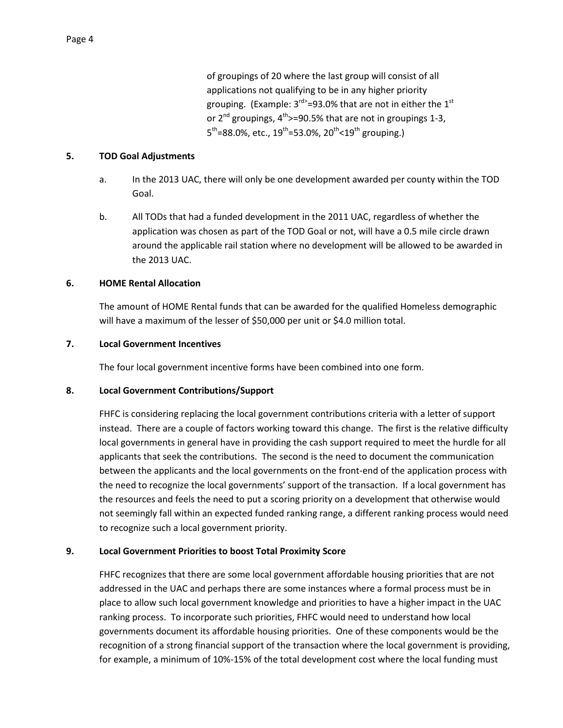of groupings of 20 where the last group will consist of all applications not qualifying to be in any higher priority grouping. (Example: 3<sup>rd></sup>=93.0% that are not in either the 1<sup>st</sup> or  $2^{nd}$  groupings,  $4^{th}$ >=90.5% that are not in groupings 1-3,  $5^{\text{th}}$ =88.0%, etc., 19<sup>th</sup>=53.0%, 20<sup>th</sup><19<sup>th</sup> grouping.)

### **5. TOD Goal Adjustments**

- a. In the 2013 UAC, there will only be one development awarded per county within the TOD Goal.
- b. All TODs that had a funded development in the 2011 UAC, regardless of whether the application was chosen as part of the TOD Goal or not, will have a 0.5 mile circle drawn around the applicable rail station where no development will be allowed to be awarded in the 2013 UAC.

### **6. HOME Rental Allocation**

The amount of HOME Rental funds that can be awarded for the qualified Homeless demographic will have a maximum of the lesser of \$50,000 per unit or \$4.0 million total.

### **7. Local Government Incentives**

The four local government incentive forms have been combined into one form.

### **8. Local Government Contributions/Support**

FHFC is considering replacing the local government contributions criteria with a letter of support instead. There are a couple of factors working toward this change. The first is the relative difficulty local governments in general have in providing the cash support required to meet the hurdle for all applicants that seek the contributions. The second is the need to document the communication between the applicants and the local governments on the front-end of the application process with the need to recognize the local governments' support of the transaction. If a local government has the resources and feels the need to put a scoring priority on a development that otherwise would not seemingly fall within an expected funded ranking range, a different ranking process would need to recognize such a local government priority.

### **9. Local Government Priorities to boost Total Proximity Score**

FHFC recognizes that there are some local government affordable housing priorities that are not addressed in the UAC and perhaps there are some instances where a formal process must be in place to allow such local government knowledge and priorities to have a higher impact in the UAC ranking process. To incorporate such priorities, FHFC would need to understand how local governments document its affordable housing priorities. One of these components would be the recognition of a strong financial support of the transaction where the local government is providing, for example, a minimum of 10%-15% of the total development cost where the local funding must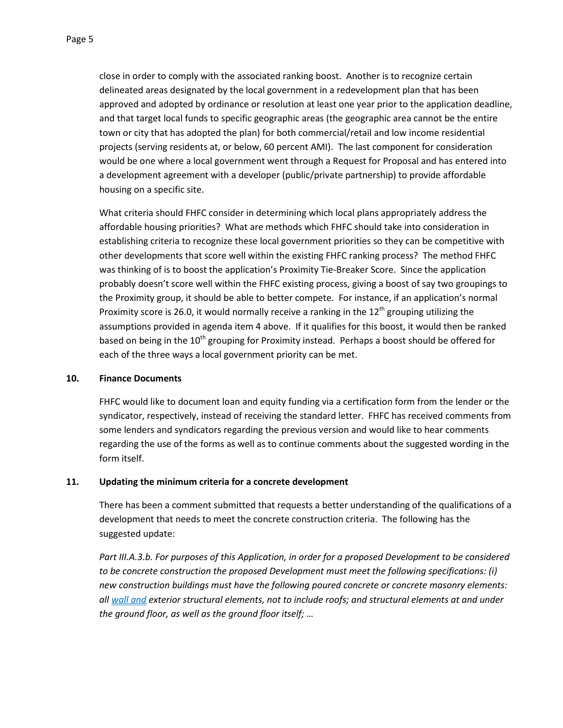close in order to comply with the associated ranking boost. Another is to recognize certain delineated areas designated by the local government in a redevelopment plan that has been approved and adopted by ordinance or resolution at least one year prior to the application deadline, and that target local funds to specific geographic areas (the geographic area cannot be the entire town or city that has adopted the plan) for both commercial/retail and low income residential projects (serving residents at, or below, 60 percent AMI). The last component for consideration would be one where a local government went through a Request for Proposal and has entered into a development agreement with a developer (public/private partnership) to provide affordable housing on a specific site.

What criteria should FHFC consider in determining which local plans appropriately address the affordable housing priorities? What are methods which FHFC should take into consideration in establishing criteria to recognize these local government priorities so they can be competitive with other developments that score well within the existing FHFC ranking process? The method FHFC was thinking of is to boost the application's Proximity Tie-Breaker Score. Since the application probably doesn't score well within the FHFC existing process, giving a boost of say two groupings to the Proximity group, it should be able to better compete. For instance, if an application's normal Proximity score is 26.0, it would normally receive a ranking in the  $12<sup>th</sup>$  grouping utilizing the assumptions provided in agenda item 4 above. If it qualifies for this boost, it would then be ranked based on being in the  $10^{th}$  grouping for Proximity instead. Perhaps a boost should be offered for each of the three ways a local government priority can be met.

### **10. Finance Documents**

FHFC would like to document loan and equity funding via a certification form from the lender or the syndicator, respectively, instead of receiving the standard letter. FHFC has received comments from some lenders and syndicators regarding the previous version and would like to hear comments regarding the use of the forms as well as to continue comments about the suggested wording in the form itself.

### **11. Updating the minimum criteria for a concrete development**

There has been a comment submitted that requests a better understanding of the qualifications of a development that needs to meet the concrete construction criteria. The following has the suggested update:

*Part III.A.3.b. For purposes of this Application, in order for a proposed Development to be considered to be concrete construction the proposed Development must meet the following specifications: (i) new construction buildings must have the following poured concrete or concrete masonry elements: all wall and exterior structural elements, not to include roofs; and structural elements at and under the ground floor, as well as the ground floor itself; …*